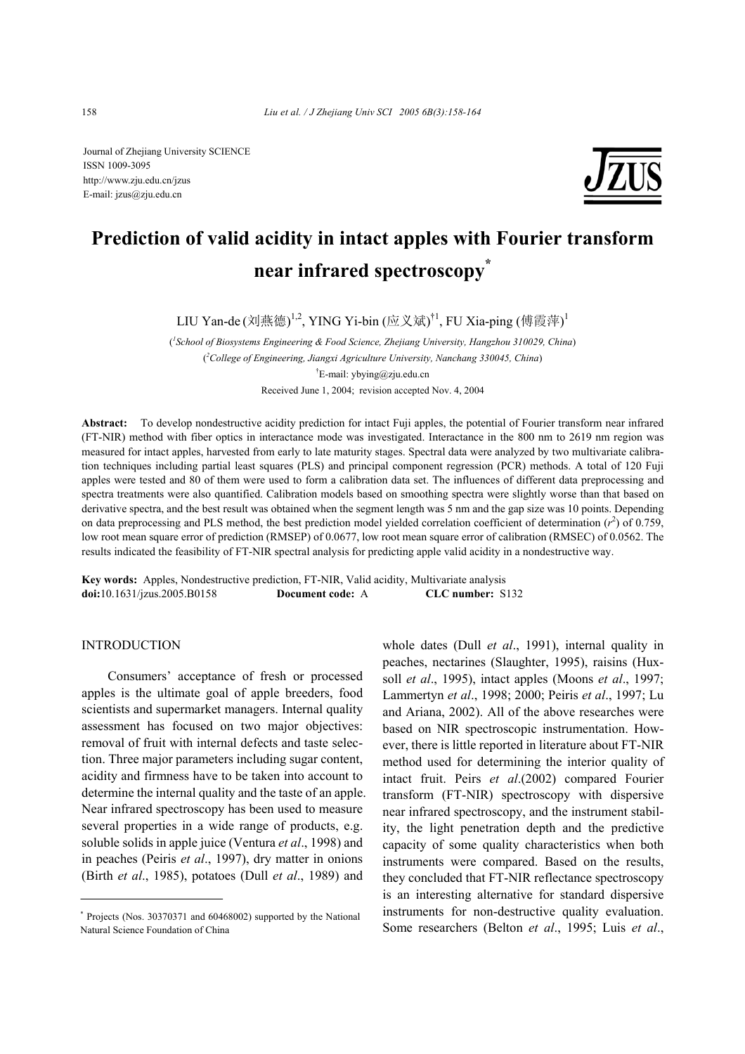Journal of Zhejiang University SCIENCE ISSN 1009-3095 http://www.zju.edu.cn/jzus E-mail: jzus@zju.edu.cn



# **Prediction of valid acidity in intact apples with Fourier transform near infrared spectroscopy\***

LIU Yan-de(刘燕德)<sup>1,2</sup>, YING Yi-bin (应义斌)<sup>†1</sup>, FU Xia-ping (傅霞萍)<sup>1</sup>

( *1 School of Biosystems Engineering & Food Science, Zhejiang University, Hangzhou 310029, China*) ( *2 College of Engineering, Jiangxi Agriculture University, Nanchang 330045, China*) † E-mail: ybying@zju.edu.cn Received June 1, 2004; revision accepted Nov. 4, 2004

**Abstract:** To develop nondestructive acidity prediction for intact Fuji apples, the potential of Fourier transform near infrared (FT-NIR) method with fiber optics in interactance mode was investigated. Interactance in the 800 nm to 2619 nm region was measured for intact apples, harvested from early to late maturity stages. Spectral data were analyzed by two multivariate calibration techniques including partial least squares (PLS) and principal component regression (PCR) methods. A total of 120 Fuji apples were tested and 80 of them were used to form a calibration data set. The influences of different data preprocessing and spectra treatments were also quantified. Calibration models based on smoothing spectra were slightly worse than that based on derivative spectra, and the best result was obtained when the segment length was 5 nm and the gap size was 10 points. Depending on data preprocessing and PLS method, the best prediction model yielded correlation coefficient of determination  $(r^2)$  of 0.759, low root mean square error of prediction (RMSEP) of 0.0677, low root mean square error of calibration (RMSEC) of 0.0562. The results indicated the feasibility of FT-NIR spectral analysis for predicting apple valid acidity in a nondestructive way.

**Key words:** Apples, Nondestructive prediction, FT-NIR, Valid acidity, Multivariate analysis **doi:**10.1631/jzus.2005.B0158 **Document code:** A **CLC number:** S132

## INTRODUCTION

Consumers' acceptance of fresh or processed apples is the ultimate goal of apple breeders, food scientists and supermarket managers. Internal quality assessment has focused on two major objectives: removal of fruit with internal defects and taste selection. Three major parameters including sugar content, acidity and firmness have to be taken into account to determine the internal quality and the taste of an apple. Near infrared spectroscopy has been used to measure several properties in a wide range of products, e.g. soluble solids in apple juice (Ventura *et al*., 1998) and in peaches (Peiris *et al*., 1997), dry matter in onions (Birth *et al*., 1985), potatoes (Dull *et al*., 1989) and

whole dates (Dull *et al*., 1991), internal quality in peaches, nectarines (Slaughter, 1995), raisins (Huxsoll *et al*., 1995), intact apples (Moons *et al*., 1997; Lammertyn *et al*., 1998; 2000; Peiris *et al*., 1997; Lu and Ariana, 2002). All of the above researches were based on NIR spectroscopic instrumentation. However, there is little reported in literature about FT-NIR method used for determining the interior quality of intact fruit. Peirs *et al*.(2002) compared Fourier transform (FT-NIR) spectroscopy with dispersive near infrared spectroscopy, and the instrument stability, the light penetration depth and the predictive capacity of some quality characteristics when both instruments were compared. Based on the results, they concluded that FT-NIR reflectance spectroscopy is an interesting alternative for standard dispersive instruments for non-destructive quality evaluation. Some researchers (Belton *et al*., 1995; Luis *et al*.,

<sup>\*</sup> Projects (Nos. 30370371 and 60468002) supported by the National Natural Science Foundation of China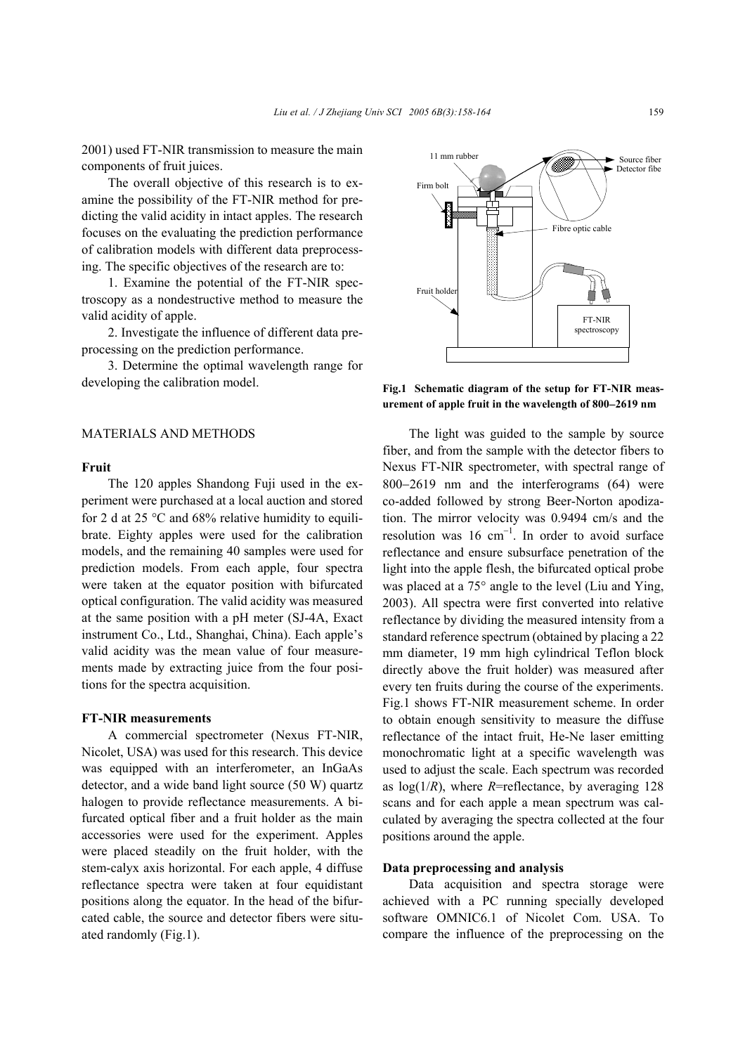2001) used FT-NIR transmission to measure the main components of fruit juices.

The overall objective of this research is to examine the possibility of the FT-NIR method for predicting the valid acidity in intact apples. The research focuses on the evaluating the prediction performance of calibration models with different data preprocessing. The specific objectives of the research are to:

1. Examine the potential of the FT-NIR spectroscopy as a nondestructive method to measure the valid acidity of apple.

2. Investigate the influence of different data preprocessing on the prediction performance.

3. Determine the optimal wavelength range for developing the calibration model.

## MATERIALS AND METHODS

### **Fruit**

The 120 apples Shandong Fuji used in the experiment were purchased at a local auction and stored for 2 d at 25  $\degree$ C and 68% relative humidity to equilibrate. Eighty apples were used for the calibration models, and the remaining 40 samples were used for prediction models. From each apple, four spectra were taken at the equator position with bifurcated optical configuration. The valid acidity was measured at the same position with a pH meter (SJ-4A, Exact instrument Co., Ltd., Shanghai, China). Each apple's valid acidity was the mean value of four measurements made by extracting juice from the four positions for the spectra acquisition.

## **FT-NIR measurements**

A commercial spectrometer (Nexus FT-NIR, Nicolet, USA) was used for this research. This device was equipped with an interferometer, an InGaAs detector, and a wide band light source (50 W) quartz halogen to provide reflectance measurements. A bifurcated optical fiber and a fruit holder as the main accessories were used for the experiment. Apples were placed steadily on the fruit holder, with the stem-calyx axis horizontal. For each apple, 4 diffuse reflectance spectra were taken at four equidistant positions along the equator. In the head of the bifurcated cable, the source and detector fibers were situated randomly (Fig.1).



**Fig.1 Schematic diagram of the setup for FT-NIR measurement of apple fruit in the wavelength of 800**−**2619 nm** 

The light was guided to the sample by source fiber, and from the sample with the detector fibers to Nexus FT-NIR spectrometer, with spectral range of 800−2619 nm and the interferograms (64) were co-added followed by strong Beer-Norton apodization. The mirror velocity was 0.9494 cm/s and the resolution was 16  $cm^{-1}$ . In order to avoid surface reflectance and ensure subsurface penetration of the light into the apple flesh, the bifurcated optical probe was placed at a 75° angle to the level (Liu and Ying, 2003). All spectra were first converted into relative reflectance by dividing the measured intensity from a standard reference spectrum (obtained by placing a 22 mm diameter, 19 mm high cylindrical Teflon block directly above the fruit holder) was measured after every ten fruits during the course of the experiments. Fig.1 shows FT-NIR measurement scheme. In order to obtain enough sensitivity to measure the diffuse reflectance of the intact fruit, He-Ne laser emitting monochromatic light at a specific wavelength was used to adjust the scale. Each spectrum was recorded as  $log(1/R)$ , where *R*=reflectance, by averaging 128 scans and for each apple a mean spectrum was calculated by averaging the spectra collected at the four positions around the apple.

## **Data preprocessing and analysis**

Data acquisition and spectra storage were achieved with a PC running specially developed software OMNIC6.1 of Nicolet Com. USA. To compare the influence of the preprocessing on the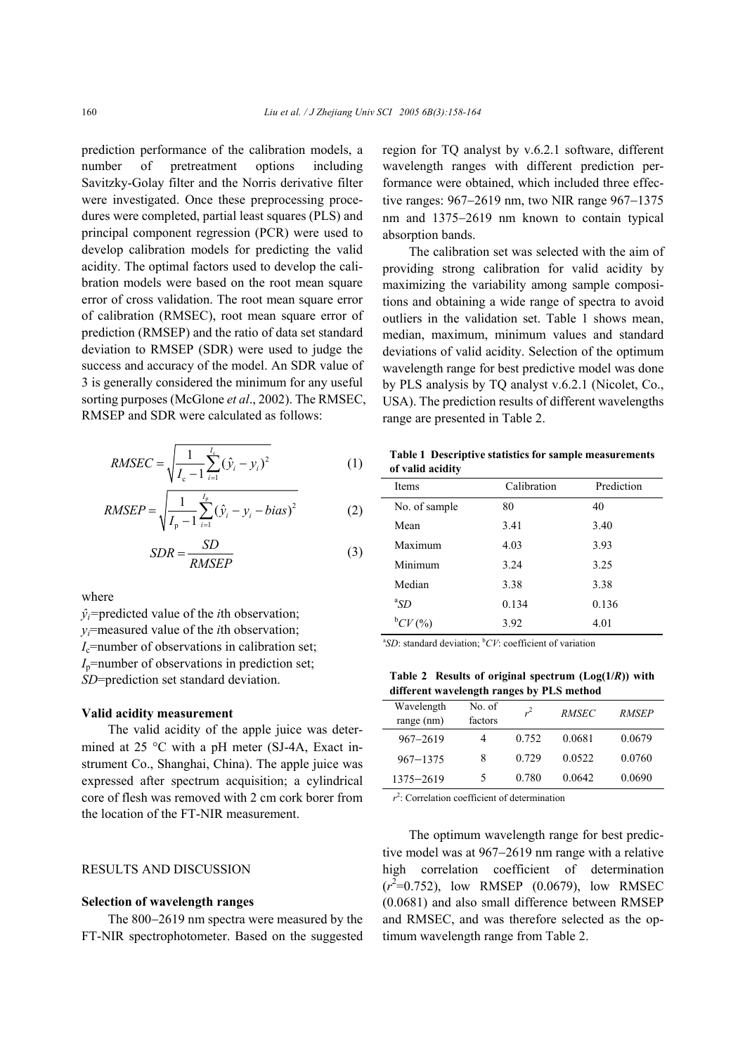prediction performance of the calibration models, a number of pretreatment options including Savitzky-Golay filter and the Norris derivative filter were investigated. Once these preprocessing procedures were completed, partial least squares (PLS) and principal component regression (PCR) were used to develop calibration models for predicting the valid acidity. The optimal factors used to develop the calibration models were based on the root mean square error of cross validation. The root mean square error of calibration (RMSEC), root mean square error of prediction (RMSEP) and the ratio of data set standard deviation to RMSEP (SDR) were used to judge the success and accuracy of the model. An SDR value of 3 is generally considered the minimum for any useful sorting purposes (McGlone *et al*., 2002). The RMSEC, RMSEP and SDR were calculated as follows:

RMSEC = 
$$
\sqrt{\frac{1}{I_c - 1} \sum_{i=1}^{I_c} (\hat{y}_i - y_i)^2}
$$
 (1)

RMSEP = 
$$
\sqrt{\frac{1}{I_p - 1} \sum_{i=1}^{I_p} (\hat{y}_i - y_i - bias)^2}
$$
 (2)

$$
SDR = \frac{SD}{RMSEP} \tag{3}
$$

where

 $\hat{v}_i$ =predicted value of the *i*th observation; *yi*=measured value of the *i*th observation;  $I_c$ =number of observations in calibration set;  $I_p$ =number of observations in prediction set; *SD*=prediction set standard deviation.

## **Valid acidity measurement**

The valid acidity of the apple juice was determined at 25 °C with a pH meter (SJ-4A, Exact instrument Co., Shanghai, China). The apple juice was expressed after spectrum acquisition; a cylindrical core of flesh was removed with 2 cm cork borer from the location of the FT-NIR measurement.

# RESULTS AND DISCUSSION

#### **Selection of wavelength ranges**

The 800−2619 nm spectra were measured by the FT-NIR spectrophotometer. Based on the suggested region for TQ analyst by v.6.2.1 software, different wavelength ranges with different prediction performance were obtained, which included three effective ranges: 967−2619 nm, two NIR range 967−1375 nm and 1375−2619 nm known to contain typical absorption bands.

The calibration set was selected with the aim of providing strong calibration for valid acidity by maximizing the variability among sample compositions and obtaining a wide range of spectra to avoid outliers in the validation set. Table 1 shows mean, median, maximum, minimum values and standard deviations of valid acidity. Selection of the optimum wavelength range for best predictive model was done by PLS analysis by TQ analyst v.6.2.1 (Nicolet, Co., USA). The prediction results of different wavelengths range are presented in Table 2.

|                  |  | Table 1 Descriptive statistics for sample measurements |
|------------------|--|--------------------------------------------------------|
| of valid acidity |  |                                                        |

| <b>Items</b>  | Calibration | Prediction |
|---------------|-------------|------------|
| No. of sample | 80          | 40         |
| Mean          | 3.41        | 3.40       |
| Maximum       | 4.03        | 3.93       |
| Minimum       | 3.24        | 3.25       |
| Median        | 3.38        | 3.38       |
| ${}^aSD$      | 0.134       | 0.136      |
| ${}^{b}CV(%)$ | 3.92        | 4.01       |

 ${}^{\text{a}}SD$ : standard deviation;  ${}^{\text{b}}CV$ : coefficient of variation

**Table 2 Results of original spectrum (Log(1/***R***)) with different wavelength ranges by PLS method** 

| $\frac{1}{2}$     |       |              |              |  |  |  |  |
|-------------------|-------|--------------|--------------|--|--|--|--|
| No. of<br>factors | $r^2$ | <b>RMSEC</b> | <b>RMSEP</b> |  |  |  |  |
| 4                 | 0.752 | 0.0681       | 0.0679       |  |  |  |  |
| 8                 | 0.729 | 0.0522       | 0.0760       |  |  |  |  |
| 5                 | 0.780 | 0.0642       | 0.0690       |  |  |  |  |
|                   |       |              |              |  |  |  |  |

*r* 2 : Correlation coefficient of determination

The optimum wavelength range for best predictive model was at 967−2619 nm range with a relative high correlation coefficient of determination  $(r^2=0.752)$ , low RMSEP (0.0679), low RMSEC (0.0681) and also small difference between RMSEP and RMSEC, and was therefore selected as the optimum wavelength range from Table 2.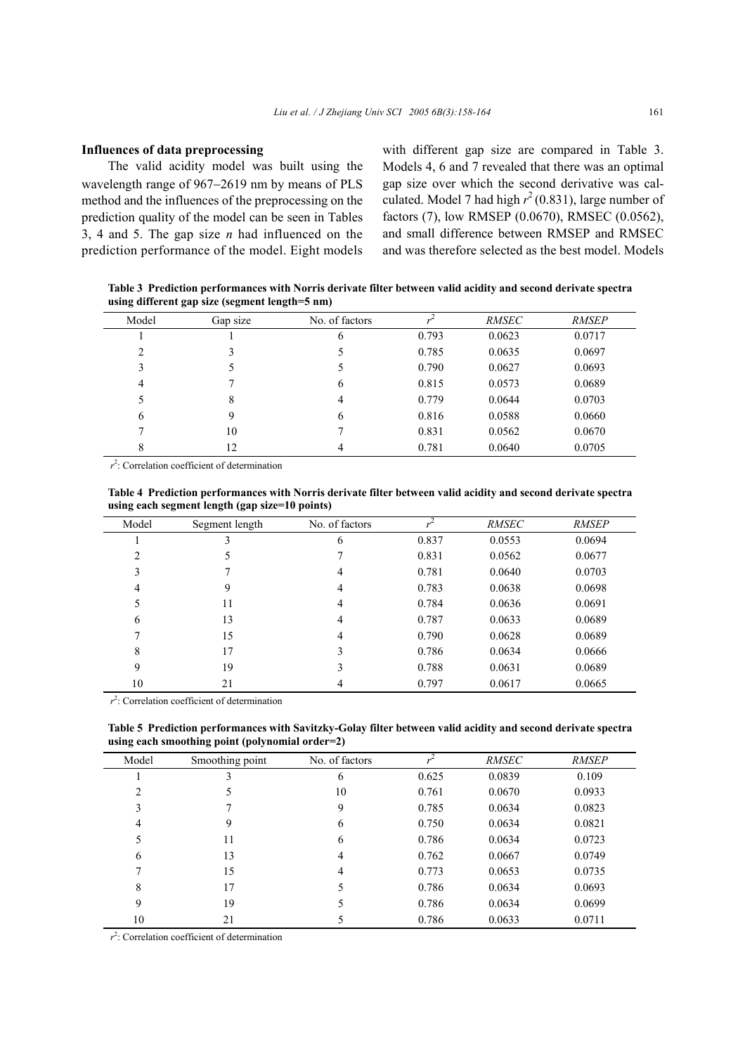## **Influences of data preprocessing**

The valid acidity model was built using the wavelength range of 967−2619 nm by means of PLS method and the influences of the preprocessing on the prediction quality of the model can be seen in Tables 3, 4 and 5. The gap size *n* had influenced on the prediction performance of the model. Eight models

with different gap size are compared in Table 3. Models 4, 6 and 7 revealed that there was an optimal gap size over which the second derivative was calculated. Model 7 had high  $r^2$  (0.831), large number of factors (7), low RMSEP (0.0670), RMSEC (0.0562), and small difference between RMSEP and RMSEC and was therefore selected as the best model. Models

**Table 3 Prediction performances with Norris derivate filter between valid acidity and second derivate spectra using different gap size (segment length=5 nm)** 

| Model | Gap size | No. of factors |       | <i>RMSEC</i> | <b>RMSEP</b> |
|-------|----------|----------------|-------|--------------|--------------|
|       |          | b              | 0.793 | 0.0623       | 0.0717       |
| 2     |          |                | 0.785 | 0.0635       | 0.0697       |
| 3     |          |                | 0.790 | 0.0627       | 0.0693       |
| 4     |          | 6              | 0.815 | 0.0573       | 0.0689       |
|       | 8        | 4              | 0.779 | 0.0644       | 0.0703       |
| 6     | 9        | 6              | 0.816 | 0.0588       | 0.0660       |
| ⇁     | 10       |                | 0.831 | 0.0562       | 0.0670       |
| 8     | 12       | 4              | 0.781 | 0.0640       | 0.0705       |
|       |          |                |       |              |              |

 $r^2$ : Correlation coefficient of determination

| Table 4 Prediction performances with Norris derivate filter between valid acidity and second derivate spectra |
|---------------------------------------------------------------------------------------------------------------|
| using each segment length (gap size=10 points)                                                                |

| Model | Segment length | No. of factors |       | <b>RMSEC</b> | <b>RMSEP</b> |
|-------|----------------|----------------|-------|--------------|--------------|
|       |                | 6              | 0.837 | 0.0553       | 0.0694       |
| 2     |                |                | 0.831 | 0.0562       | 0.0677       |
| 3     |                | 4              | 0.781 | 0.0640       | 0.0703       |
| 4     | 9              | 4              | 0.783 | 0.0638       | 0.0698       |
| 5     | 11             | 4              | 0.784 | 0.0636       | 0.0691       |
| 6     | 13             | 4              | 0.787 | 0.0633       | 0.0689       |
|       | 15             | 4              | 0.790 | 0.0628       | 0.0689       |
| 8     | 17             | 3              | 0.786 | 0.0634       | 0.0666       |
| 9     | 19             |                | 0.788 | 0.0631       | 0.0689       |
| 10    | 21             | 4              | 0.797 | 0.0617       | 0.0665       |

 $r^2$ : Correlation coefficient of determination

**Table 5 Prediction performances with Savitzky-Golay filter between valid acidity and second derivate spectra using each smoothing point (polynomial order=2)** 

| -     |                 |                |       |              |              |
|-------|-----------------|----------------|-------|--------------|--------------|
| Model | Smoothing point | No. of factors |       | <i>RMSEC</i> | <b>RMSEP</b> |
|       |                 | 6              | 0.625 | 0.0839       | 0.109        |
| 2     |                 | 10             | 0.761 | 0.0670       | 0.0933       |
| 3     |                 | 9              | 0.785 | 0.0634       | 0.0823       |
| 4     | 9               | 6              | 0.750 | 0.0634       | 0.0821       |
| 5     | 11              | 6              | 0.786 | 0.0634       | 0.0723       |
| 6     | 13              | 4              | 0.762 | 0.0667       | 0.0749       |
|       | 15              | $\overline{4}$ | 0.773 | 0.0653       | 0.0735       |
| 8     | 17              |                | 0.786 | 0.0634       | 0.0693       |
| 9     | 19              |                | 0.786 | 0.0634       | 0.0699       |
| 10    | 21              |                | 0.786 | 0.0633       | 0.0711       |

 $r^2$ : Correlation coefficient of determination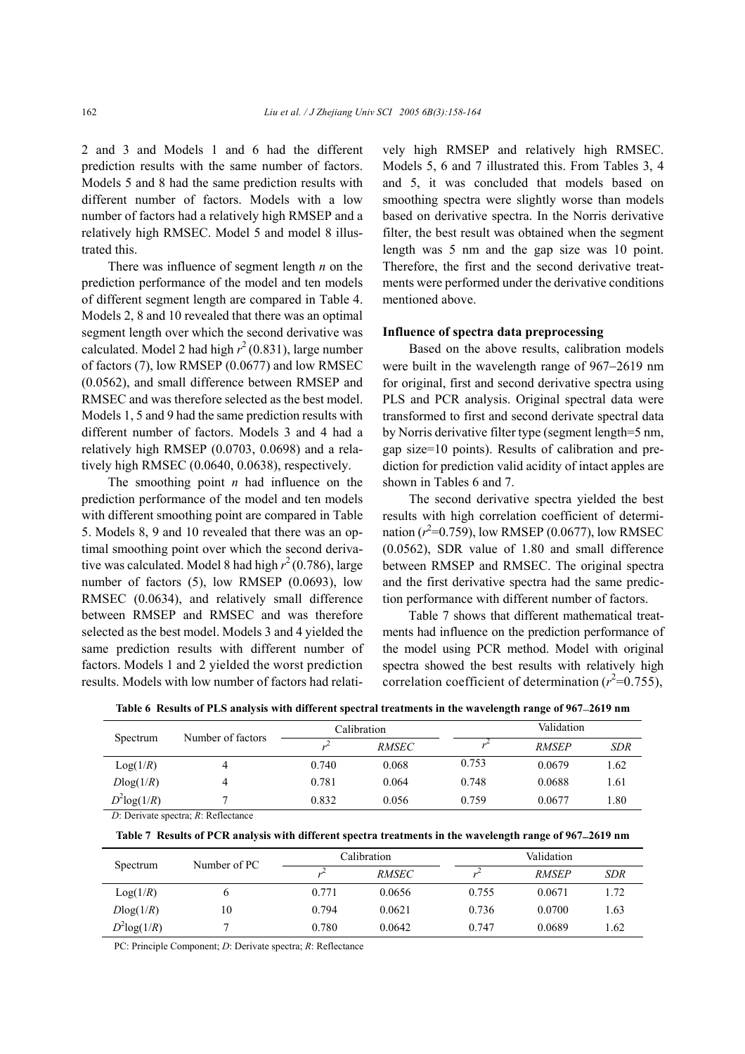2 and 3 and Models 1 and 6 had the different prediction results with the same number of factors. Models 5 and 8 had the same prediction results with different number of factors. Models with a low number of factors had a relatively high RMSEP and a relatively high RMSEC. Model 5 and model 8 illustrated this.

There was influence of segment length *n* on the prediction performance of the model and ten models of different segment length are compared in Table 4. Models 2, 8 and 10 revealed that there was an optimal segment length over which the second derivative was calculated. Model 2 had high  $r^2$  (0.831), large number of factors (7), low RMSEP (0.0677) and low RMSEC (0.0562), and small difference between RMSEP and RMSEC and was therefore selected as the best model. Models 1, 5 and 9 had the same prediction results with different number of factors. Models 3 and 4 had a relatively high RMSEP (0.0703, 0.0698) and a relatively high RMSEC (0.0640, 0.0638), respectively.

The smoothing point *n* had influence on the prediction performance of the model and ten models with different smoothing point are compared in Table 5. Models 8, 9 and 10 revealed that there was an optimal smoothing point over which the second derivative was calculated. Model 8 had high  $r^2$  (0.786), large number of factors (5), low RMSEP (0.0693), low RMSEC (0.0634), and relatively small difference between RMSEP and RMSEC and was therefore selected as the best model. Models 3 and 4 yielded the same prediction results with different number of factors. Models 1 and 2 yielded the worst prediction results. Models with low number of factors had relatively high RMSEP and relatively high RMSEC. Models 5, 6 and 7 illustrated this. From Tables 3, 4 and 5, it was concluded that models based on smoothing spectra were slightly worse than models based on derivative spectra. In the Norris derivative filter, the best result was obtained when the segment length was 5 nm and the gap size was 10 point. Therefore, the first and the second derivative treatments were performed under the derivative conditions mentioned above.

#### **Influence of spectra data preprocessing**

Based on the above results, calibration models were built in the wavelength range of 967−2619 nm for original, first and second derivative spectra using PLS and PCR analysis. Original spectral data were transformed to first and second derivate spectral data by Norris derivative filter type (segment length=5 nm, gap size=10 points). Results of calibration and prediction for prediction valid acidity of intact apples are shown in Tables 6 and 7.

The second derivative spectra yielded the best results with high correlation coefficient of determination  $(r^2=0.759)$ , low RMSEP  $(0.0677)$ , low RMSEC (0.0562), SDR value of 1.80 and small difference between RMSEP and RMSEC. The original spectra and the first derivative spectra had the same prediction performance with different number of factors.

Table 7 shows that different mathematical treatments had influence on the prediction performance of the model using PCR method. Model with original spectra showed the best results with relatively high correlation coefficient of determination  $(r^2=0.755)$ ,

|                |                   | Calibration |              |       | Validation   |            |  |
|----------------|-------------------|-------------|--------------|-------|--------------|------------|--|
| Spectrum       | Number of factors |             | <i>RMSEC</i> |       | <b>RMSEP</b> | <b>SDR</b> |  |
| Log(1/R)       |                   | 0.740       | 0.068        | 0.753 | 0.0679       | 1.62       |  |
| Dlog(1/R)      |                   | 0.781       | 0.064        | 0.748 | 0.0688       | 1.61       |  |
| $D^2$ log(1/R) |                   | 0.832       | 0.056        | 0.759 | 0.0677       | 1.80       |  |

**Table 6 Results of PLS analysis with different spectral treatments in the wavelength range of 967**−**2619 nm** 

*D*: Derivate spectra; *R*: Reflectance

**Table 7 Results of PCR analysis with different spectra treatments in the wavelength range of 967**−**2619 nm** 

| Spectrum          | Number of PC |       | Calibration  |       | Validation   |      |  |
|-------------------|--------------|-------|--------------|-------|--------------|------|--|
|                   |              |       | <b>RMSEC</b> |       | <b>RMSEP</b> | SDR  |  |
| Log(1/R)          |              | 0.771 | 0.0656       | 0.755 | 0.0671       | 1.72 |  |
| Dlog(1/R)         | 10           | 0.794 | 0.0621       | 0.736 | 0.0700       | l.63 |  |
| $D^2$ log $(1/R)$ |              | 0.780 | 0.0642       | 0.747 | 0.0689       | .62  |  |

PC: Principle Component; *D*: Derivate spectra; *R*: Reflectance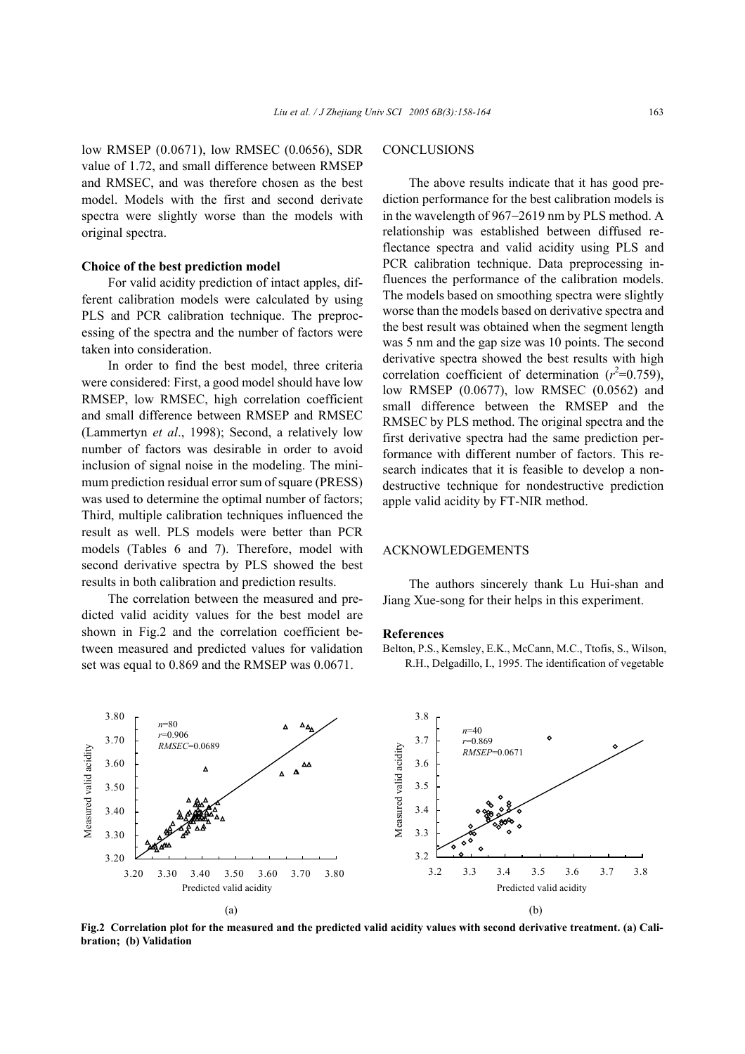low RMSEP (0.0671), low RMSEC (0.0656), SDR value of 1.72, and small difference between RMSEP and RMSEC, and was therefore chosen as the best model. Models with the first and second derivate spectra were slightly worse than the models with original spectra.

## **Choice of the best prediction model**

For valid acidity prediction of intact apples, different calibration models were calculated by using PLS and PCR calibration technique. The preprocessing of the spectra and the number of factors were taken into consideration.

In order to find the best model, three criteria were considered: First, a good model should have low RMSEP, low RMSEC, high correlation coefficient and small difference between RMSEP and RMSEC (Lammertyn *et al*., 1998); Second, a relatively low number of factors was desirable in order to avoid inclusion of signal noise in the modeling. The minimum prediction residual error sum of square (PRESS) was used to determine the optimal number of factors; Third, multiple calibration techniques influenced the result as well. PLS models were better than PCR models (Tables 6 and 7). Therefore, model with second derivative spectra by PLS showed the best results in both calibration and prediction results.

The correlation between the measured and predicted valid acidity values for the best model are shown in Fig.2 and the correlation coefficient between measured and predicted values for validation set was equal to 0.869 and the RMSEP was 0.0671.

## **CONCLUSIONS**

The above results indicate that it has good prediction performance for the best calibration models is in the wavelength of 967−2619 nm by PLS method. A relationship was established between diffused reflectance spectra and valid acidity using PLS and PCR calibration technique. Data preprocessing influences the performance of the calibration models. The models based on smoothing spectra were slightly worse than the models based on derivative spectra and the best result was obtained when the segment length was 5 nm and the gap size was 10 points. The second derivative spectra showed the best results with high correlation coefficient of determination  $(r^2=0.759)$ , low RMSEP (0.0677), low RMSEC (0.0562) and small difference between the RMSEP and the RMSEC by PLS method. The original spectra and the first derivative spectra had the same prediction performance with different number of factors. This research indicates that it is feasible to develop a nondestructive technique for nondestructive prediction apple valid acidity by FT-NIR method.

#### ACKNOWLEDGEMENTS

The authors sincerely thank Lu Hui-shan and Jiang Xue-song for their helps in this experiment.

#### **References**

Belton, P.S., Kemsley, E.K., McCann, M.C., Ttofis, S., Wilson, R.H., Delgadillo, I., 1995. The identification of vegetable



**Fig.2 Correlation plot for the measured and the predicted valid acidity values with second derivative treatment. (a) Calibration; (b) Validation**